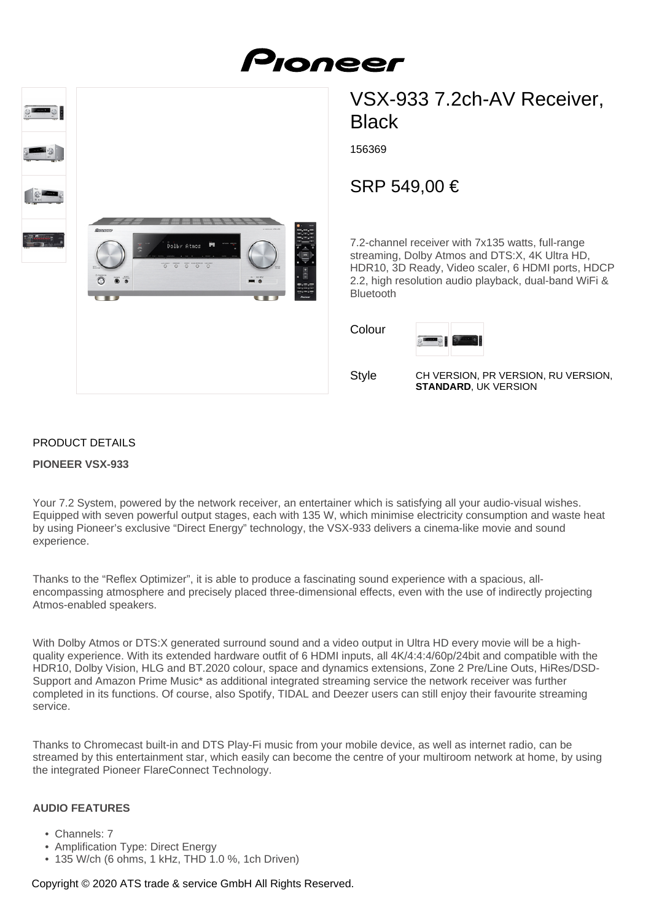



# VSX-933 7.2ch-AV Receiver, **Black**

156369

## SRP 549,00 €

7.2-channel receiver with 7x135 watts, full-range streaming, Dolby Atmos and DTS:X, 4K Ultra HD, HDR10, 3D Ready, Video scaler, 6 HDMI ports, HDCP 2.2, high resolution audio playback, dual-band WiFi & Bluetooth

Colour



Style

CH VERSION, PR VERSION, RU VERSION, **STANDARD**, UK VERSION

### PRODUCT DETAILS

#### **PIONEER VSX-933**

Your 7.2 System, powered by the network receiver, an entertainer which is satisfying all your audio-visual wishes. Equipped with seven powerful output stages, each with 135 W, which minimise electricity consumption and waste heat by using Pioneer's exclusive "Direct Energy" technology, the VSX-933 delivers a cinema-like movie and sound experience.

Thanks to the "Reflex Optimizer", it is able to produce a fascinating sound experience with a spacious, allencompassing atmosphere and precisely placed three-dimensional effects, even with the use of indirectly projecting Atmos-enabled speakers.

With Dolby Atmos or DTS:X generated surround sound and a video output in Ultra HD every movie will be a highquality experience. With its extended hardware outfit of 6 HDMI inputs, all 4K/4:4:4/60p/24bit and compatible with the HDR10, Dolby Vision, HLG and BT.2020 colour, space and dynamics extensions, Zone 2 Pre/Line Outs, HiRes/DSD-Support and Amazon Prime Music\* as additional integrated streaming service the network receiver was further completed in its functions. Of course, also Spotify, TIDAL and Deezer users can still enjoy their favourite streaming service.

Thanks to Chromecast built-in and DTS Play-Fi music from your mobile device, as well as internet radio, can be streamed by this entertainment star, which easily can become the centre of your multiroom network at home, by using the integrated Pioneer FlareConnect Technology.

#### **AUDIO FEATURES**

- Channels: 7
- Amplification Type: Direct Energy
- 135 W/ch (6 ohms, 1 kHz, THD 1.0 %, 1ch Driven)

#### Copyright © 2020 ATS trade & service GmbH All Rights Reserved.